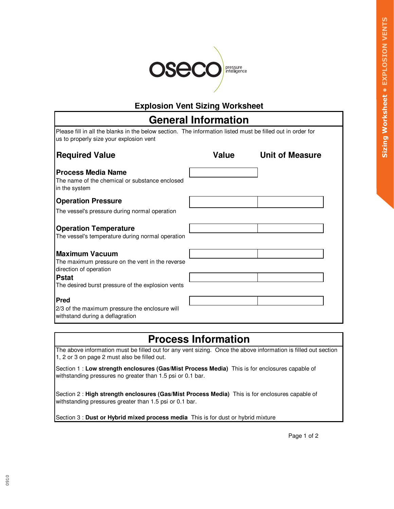

#### **Explosion Vent Sizing Worksheet**

| <b>General Information</b>                                                                                                                            |              |                        |  |  |
|-------------------------------------------------------------------------------------------------------------------------------------------------------|--------------|------------------------|--|--|
| Please fill in all the blanks in the below section. The information listed must be filled out in order for<br>us to properly size your explosion vent |              |                        |  |  |
| <b>Required Value</b>                                                                                                                                 | <b>Value</b> | <b>Unit of Measure</b> |  |  |
| <b>Process Media Name</b><br>The name of the chemical or substance enclosed<br>in the system                                                          |              |                        |  |  |
| <b>Operation Pressure</b>                                                                                                                             |              |                        |  |  |
| The vessel's pressure during normal operation                                                                                                         |              |                        |  |  |
| <b>Operation Temperature</b><br>The vessel's temperature during normal operation                                                                      |              |                        |  |  |
| <b>Maximum Vacuum</b>                                                                                                                                 |              |                        |  |  |
| The maximum pressure on the vent in the reverse<br>direction of operation                                                                             |              |                        |  |  |
| <b>Pstat</b>                                                                                                                                          |              |                        |  |  |
| The desired burst pressure of the explosion vents                                                                                                     |              |                        |  |  |
| <b>Pred</b>                                                                                                                                           |              |                        |  |  |
| 2/3 of the maximum pressure the enclosure will<br>withstand during a deflagration                                                                     |              |                        |  |  |

# **Process Information**

The above information must be filled out for any vent sizing. Once the above information is filled out section 1, 2 or 3 on page 2 must also be filled out.

Section 1 : **Low strength enclosures (Gas/Mist Process Media)** This is for enclosures capable of withstanding pressures no greater than 1.5 psi or 0.1 bar.

Section 2 : **High strength enclosures (Gas/Mist Process Media)** This is for enclosures capable of withstanding pressures greater than 1.5 psi or 0.1 bar.

Section 3 : **Dust or Hybrid mixed process media** This is for dust or hybrid mixture